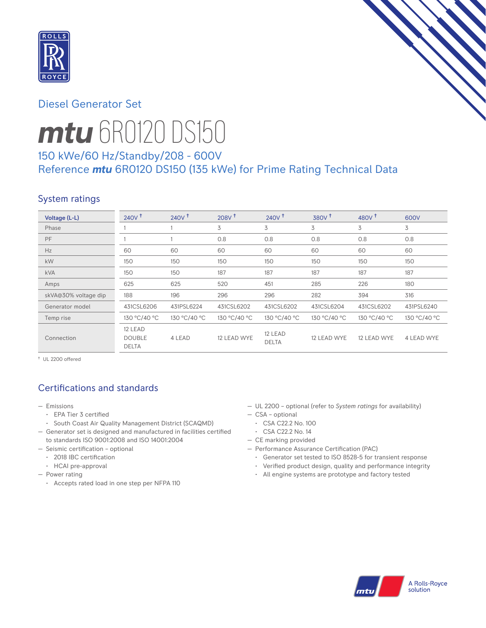

## Diesel Generator Set



# *mtu* 6R0120 DS150

# 150 kWe/60 Hz/Standby/208 - 600V Reference *mtu* 6R0120 DS150 (135 kWe) for Prime Rating Technical Data

# System ratings

| Voltage (L-L)        | $240V$ <sup>+</sup>                      | 240V <sup>†</sup> | 208V <sup>†</sup> | 240V <sup>†</sup>       | 380V <sup>†</sup> | 480 $V†$     | 600V         |
|----------------------|------------------------------------------|-------------------|-------------------|-------------------------|-------------------|--------------|--------------|
| Phase                |                                          |                   | 3                 | 3                       | 3                 | 3            | 3            |
| PF                   |                                          |                   | 0.8               | 0.8                     | 0.8               | 0.8          | 0.8          |
| Hz                   | 60                                       | 60                | 60                | 60                      | 60                | 60           | 60           |
| kW                   | 150                                      | 150               | 150               | 150                     | 150               | 150          | 150          |
| <b>kVA</b>           | 150                                      | 150               | 187               | 187                     | 187               | 187          | 187          |
| Amps                 | 625                                      | 625               | 520               | 451                     | 285               | 226          | 180          |
| skVA@30% voltage dip | 188                                      | 196               | 296               | 296                     | 282               | 394          | 316          |
| Generator model      | 431CSL6206                               | 431PSL6224        | 431CSL6202        | 431CSL6202              | 431CSL6204        | 431CSL6202   | 431PSL6240   |
| Temp rise            | 130 °C/40 °C                             | 130 °C/40 °C      | 130 °C/40 °C      | 130 °C/40 °C            | 130 °C/40 °C      | 130 °C/40 °C | 130 °C/40 °C |
| Connection           | 12 LEAD<br><b>DOUBLE</b><br><b>DELTA</b> | 4 LEAD            | 12 LEAD WYE       | 12 LEAD<br><b>DELTA</b> | 12 LEAD WYE       | 12 LEAD WYE  | 4 LEAD WYE   |

† UL 2200 offered

## Certifications and standards

- Emissions
	- EPA Tier 3 certified
	- South Coast Air Quality Management District (SCAQMD)
- Generator set is designed and manufactured in facilities certified to standards ISO 9001:2008 and ISO 14001:2004
- Seismic certification optional
	- 2018 IBC certification
	- HCAI pre-approval
- Power rating
	- Accepts rated load in one step per NFPA 110
- UL 2200 optional (refer to *System ratings* for availability)
- CSA optional
- CSA C22.2 No. 100
- CSA C22.2 No. 14
- CE marking provided
- Performance Assurance Certification (PAC)
	- Generator set tested to ISO 8528-5 for transient response
	- Verified product design, quality and performance integrity
	- All engine systems are prototype and factory tested

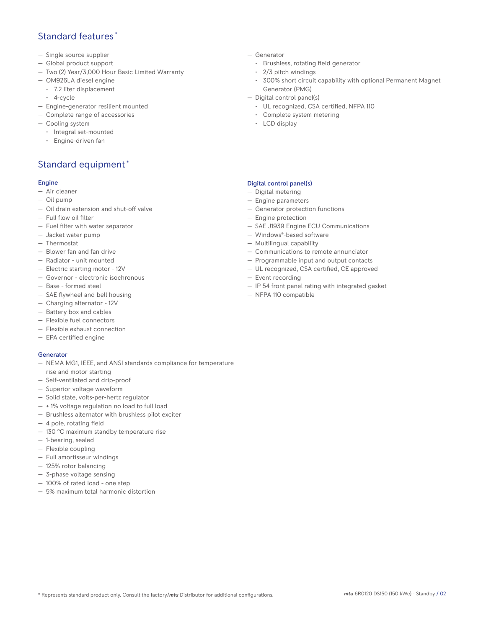## Standard features \*

- Single source supplier
- Global product support
- Two (2) Year/3,000 Hour Basic Limited Warranty
- OM926LA diesel engine
	- 7.2 liter displacement
	- 4-cycle
- Engine-generator resilient mounted
- Complete range of accessories
- Cooling system
	- Integral set-mounted
	- Engine-driven fan

## Standard equipment \*

#### Engine

- Air cleaner
- Oil pump
- Oil drain extension and shut-off valve
- Full flow oil filter
- Fuel filter with water separator
- Jacket water pump
- Thermostat
- Blower fan and fan drive
- Radiator unit mounted
- Electric starting motor 12V
- Governor electronic isochronous
- Base formed steel
- SAE flywheel and bell housing
- Charging alternator 12V
- Battery box and cables
- Flexible fuel connectors
- Flexible exhaust connection
- EPA certified engine

#### Generator

- NEMA MG1, IEEE, and ANSI standards compliance for temperature rise and motor starting
- Self-ventilated and drip-proof
- Superior voltage waveform
- Solid state, volts-per-hertz regulator
- $\pm$  1% voltage regulation no load to full load
- Brushless alternator with brushless pilot exciter
- 4 pole, rotating field
- 130 °C maximum standby temperature rise
- 1-bearing, sealed
- Flexible coupling
- Full amortisseur windings
- 125% rotor balancing
- 3-phase voltage sensing
- 100% of rated load one step
- 5% maximum total harmonic distortion
- Generator
	- Brushless, rotating field generator
	- 2/3 pitch windings
	- 300% short circuit capability with optional Permanent Magnet Generator (PMG)
- Digital control panel(s)
	- UL recognized, CSA certified, NFPA 110
	- Complete system metering
	- LCD display

#### Digital control panel(s)

- Digital metering
- Engine parameters
- Generator protection functions
- Engine protection
- SAE J1939 Engine ECU Communications
- Windows®-based software
- Multilingual capability
- Communications to remote annunciator
- Programmable input and output contacts
- UL recognized, CSA certified, CE approved
- Event recording
- IP 54 front panel rating with integrated gasket
- NFPA 110 compatible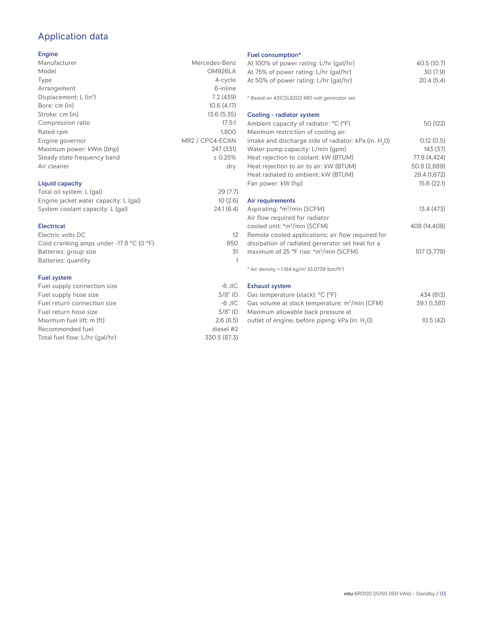## Application data

#### Engine

| Manufacturer                | Mercedes-Benz   |
|-----------------------------|-----------------|
| Model                       | OM926LA         |
| Type                        | 4-cycle         |
| Arrangement                 | 6-inline        |
| Displacement: $L (in3)$     | 7.2(439)        |
| Bore: cm (in)               | 10.6(4.17)      |
| Stroke: cm (in)             | 13.6(5.35)      |
| Compression ratio           | 17.5:1          |
| Rated rpm                   | 1.800           |
| Engine governor             | MR2 / CPC4-ECAN |
| Maximum power: kWm (bhp)    | 247 (331)       |
| Steady state frequency band | ± 0.25%         |
| Air cleaner                 | dry             |
| Liquid capacity             |                 |

#### Total oil system: L (gal) 29 (7.7) Engine jacket water capacity: L (gal) 10 (2.6)<br>System coolant capacity: L (gal) 24.1 (6.4) System coolant capacity: L (gal)

| 12  |
|-----|
| 950 |
| 31  |
|     |
|     |

#### Fuel system

| $-6$ JIC     |
|--------------|
| $3/8"$ ID    |
| $-6$ JIC     |
| $3/8"$ ID    |
| 2.6(8.5)     |
| diesel #2    |
| 330.5 (87.3) |
|              |

#### Fuel consumption\*

| <b>FUBL CONSUMPTION</b>                                                 |               |
|-------------------------------------------------------------------------|---------------|
| At 100% of power rating: L/hr (gal/hr)                                  | 40.5 (10.7)   |
| At 75% of power rating: L/hr (gal/hr)                                   | 30 (7.9)      |
| At 50% of power rating: L/hr (gal/hr)                                   | 20.4(5.4)     |
| * Based on 431CSL6202 480 volt generator set                            |               |
|                                                                         |               |
| Cooling - radiator system                                               |               |
| Ambient capacity of radiator: °C (°F)                                   | 50 (122)      |
| Maximum restriction of cooling air:                                     |               |
| intake and discharge side of radiator: kPa (in. $H_2O$ )                | 0.12(0.5)     |
| Water pump capacity: L/min (gpm)                                        | 143(37)       |
| Heat rejection to coolant: kW (BTUM)                                    | 77.8 (4,424)  |
| Heat rejection to air to air: kW (BTUM)                                 | 50.8 (2,889)  |
| Heat radiated to ambient: kW (BTUM)                                     | 29.4 (1,672)  |
| Fan power: kW (hp)                                                      | 15.6(22.1)    |
|                                                                         |               |
| Air requirements                                                        |               |
| Aspirating: *m <sup>3</sup> /min (SCFM)                                 | 13.4 (473)    |
| Air flow required for radiator                                          |               |
| cooled unit: *m <sup>3</sup> /min (SCFM)                                | 408 (14,408)  |
| Remote cooled applications; air flow required for                       |               |
| dissipation of radiated generator set heat for a                        |               |
| maximum of 25 °F rise: *m <sup>3</sup> /min (SCFM)                      | 107 (3,779)   |
| * Air density = $1.184$ kg/m <sup>3</sup> (0.0739 lbm/ft <sup>3</sup> ) |               |
| <b>Exhaust system</b>                                                   |               |
| Costamporatura (staali): <sup>0</sup> C (0F)                            | $AZA$ $(01Z)$ |

| Gas temperature (stack): °C (°F)                            | 434 (813)    |
|-------------------------------------------------------------|--------------|
| Gas volume at stack temperature: m <sup>3</sup> /min (CFM)  | 39.1 (1.381) |
| Maximum allowable back pressure at                          |              |
| outlet of engine, before piping: kPa (in. H <sub>2</sub> 0) | 10.5(42)     |
|                                                             |              |